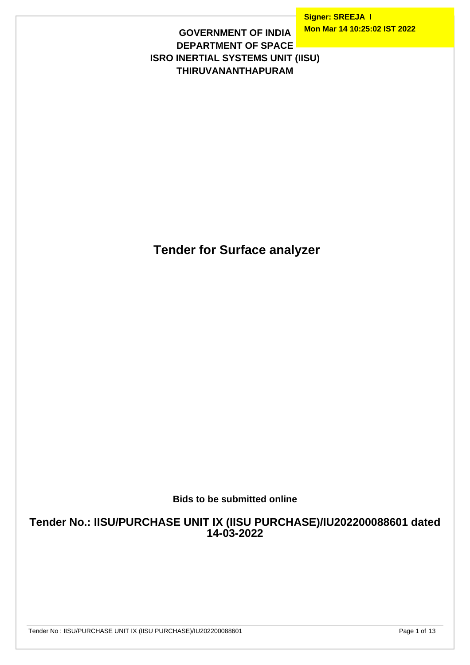**Signer: SREEJA I Mon Mar 14 10:25:02 IST 2022**

#### **GOVERNMENT OF INDIA DEPARTMENT OF SPACE ISRO INERTIAL SYSTEMS UNIT (IISU) THIRUVANANTHAPURAM**

 **Tender for Surface analyzer**

**Bids to be submitted online**

**Tender No.: IISU/PURCHASE UNIT IX (IISU PURCHASE)/IU202200088601 dated 14-03-2022**

Tender No : IISU/PURCHASE UNIT IX (IISU PURCHASE)/IU202200088601

Page 1 of 13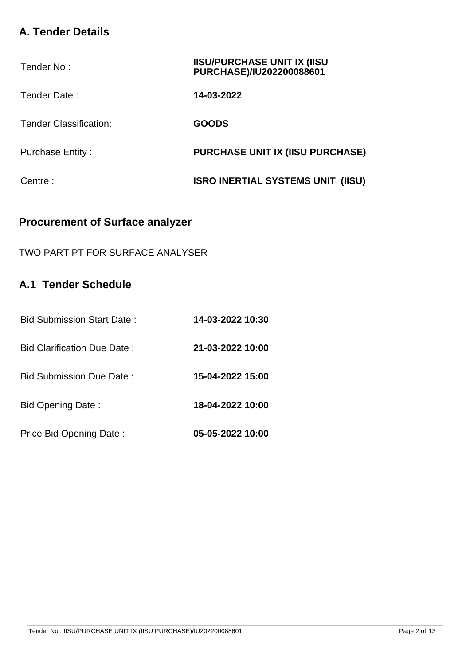# **A. Tender Details Procurement of Surface analyzer** Tender No : **IISU/PURCHASE UNIT IX (IISU PURCHASE)/IU202200088601** Tender Date : **14-03-2022** Tender Classification: **GOODS** Purchase Entity : **PURCHASE UNIT IX (IISU PURCHASE)** Centre : **ISRO INERTIAL SYSTEMS UNIT (IISU)**

# TWO PART PT FOR SURFACE ANALYSER

# **A.1 Tender Schedule**

| Bid Submission Start Date:  | 14-03-2022 10:30 |
|-----------------------------|------------------|
| Bid Clarification Due Date: | 21-03-2022 10:00 |
| Bid Submission Due Date:    | 15-04-2022 15:00 |
| Bid Opening Date:           | 18-04-2022 10:00 |
| Price Bid Opening Date:     | 05-05-2022 10:00 |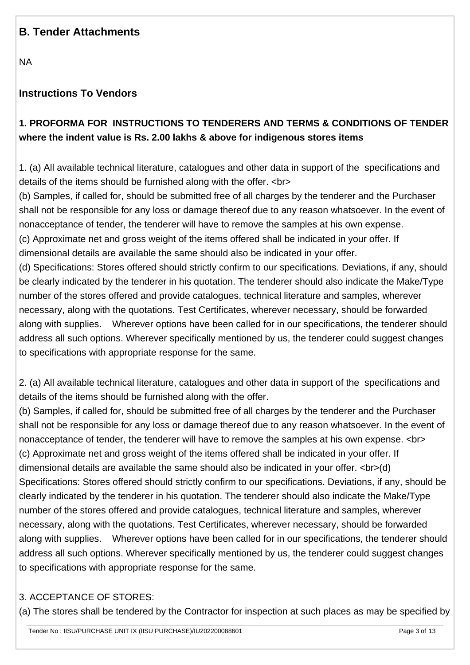# **B. Tender Attachments**

NA

### **Instructions To Vendors**

# **1. PROFORMA FOR INSTRUCTIONS TO TENDERERS AND TERMS & CONDITIONS OF TENDER where the indent value is Rs. 2.00 lakhs & above for indigenous stores items**

1. (a) All available technical literature, catalogues and other data in support of the specifications and details of the items should be furnished along with the offer. <br>

(b) Samples, if called for, should be submitted free of all charges by the tenderer and the Purchaser shall not be responsible for any loss or damage thereof due to any reason whatsoever. In the event of nonacceptance of tender, the tenderer will have to remove the samples at his own expense. (c) Approximate net and gross weight of the items offered shall be indicated in your offer. If dimensional details are available the same should also be indicated in your offer.

(d) Specifications: Stores offered should strictly confirm to our specifications. Deviations, if any, should be clearly indicated by the tenderer in his quotation. The tenderer should also indicate the Make/Type number of the stores offered and provide catalogues, technical literature and samples, wherever necessary, along with the quotations. Test Certificates, wherever necessary, should be forwarded along with supplies. Wherever options have been called for in our specifications, the tenderer should address all such options. Wherever specifically mentioned by us, the tenderer could suggest changes to specifications with appropriate response for the same.

2. (a) All available technical literature, catalogues and other data in support of the specifications and details of the items should be furnished along with the offer.

(b) Samples, if called for, should be submitted free of all charges by the tenderer and the Purchaser shall not be responsible for any loss or damage thereof due to any reason whatsoever. In the event of nonacceptance of tender, the tenderer will have to remove the samples at his own expense. <br> (c) Approximate net and gross weight of the items offered shall be indicated in your offer. If dimensional details are available the same should also be indicated in your offer. <br>>br>(d) Specifications: Stores offered should strictly confirm to our specifications. Deviations, if any, should be clearly indicated by the tenderer in his quotation. The tenderer should also indicate the Make/Type number of the stores offered and provide catalogues, technical literature and samples, wherever necessary, along with the quotations. Test Certificates, wherever necessary, should be forwarded along with supplies. Wherever options have been called for in our specifications, the tenderer should address all such options. Wherever specifically mentioned by us, the tenderer could suggest changes to specifications with appropriate response for the same.

#### 3. ACCEPTANCE OF STORES:

(a) The stores shall be tendered by the Contractor for inspection at such places as may be specified by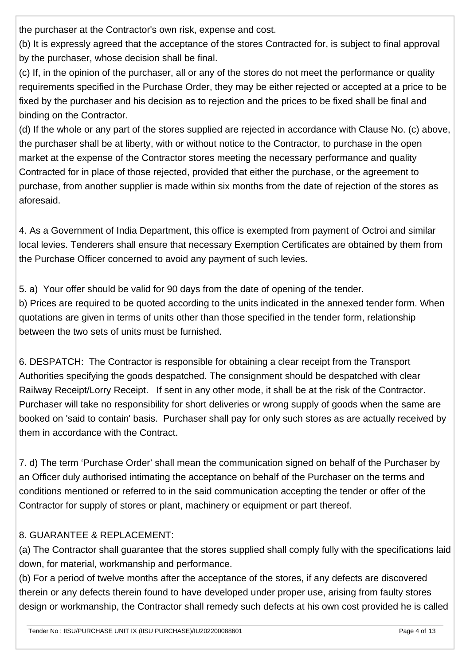the purchaser at the Contractor's own risk, expense and cost.

(b) It is expressly agreed that the acceptance of the stores Contracted for, is subject to final approval by the purchaser, whose decision shall be final.

(c) If, in the opinion of the purchaser, all or any of the stores do not meet the performance or quality requirements specified in the Purchase Order, they may be either rejected or accepted at a price to be fixed by the purchaser and his decision as to rejection and the prices to be fixed shall be final and binding on the Contractor.

(d) If the whole or any part of the stores supplied are rejected in accordance with Clause No. (c) above, the purchaser shall be at liberty, with or without notice to the Contractor, to purchase in the open market at the expense of the Contractor stores meeting the necessary performance and quality Contracted for in place of those rejected, provided that either the purchase, or the agreement to purchase, from another supplier is made within six months from the date of rejection of the stores as aforesaid.

4. As a Government of India Department, this office is exempted from payment of Octroi and similar local levies. Tenderers shall ensure that necessary Exemption Certificates are obtained by them from the Purchase Officer concerned to avoid any payment of such levies.

5. a) Your offer should be valid for 90 days from the date of opening of the tender. b) Prices are required to be quoted according to the units indicated in the annexed tender form. When quotations are given in terms of units other than those specified in the tender form, relationship between the two sets of units must be furnished.

6. DESPATCH: The Contractor is responsible for obtaining a clear receipt from the Transport Authorities specifying the goods despatched. The consignment should be despatched with clear Railway Receipt/Lorry Receipt. If sent in any other mode, it shall be at the risk of the Contractor. Purchaser will take no responsibility for short deliveries or wrong supply of goods when the same are booked on 'said to contain' basis. Purchaser shall pay for only such stores as are actually received by them in accordance with the Contract.

7. d) The term 'Purchase Order' shall mean the communication signed on behalf of the Purchaser by an Officer duly authorised intimating the acceptance on behalf of the Purchaser on the terms and conditions mentioned or referred to in the said communication accepting the tender or offer of the Contractor for supply of stores or plant, machinery or equipment or part thereof.

# 8. GUARANTEE & REPLACEMENT:

(a) The Contractor shall guarantee that the stores supplied shall comply fully with the specifications laid down, for material, workmanship and performance.

(b) For a period of twelve months after the acceptance of the stores, if any defects are discovered therein or any defects therein found to have developed under proper use, arising from faulty stores design or workmanship, the Contractor shall remedy such defects at his own cost provided he is called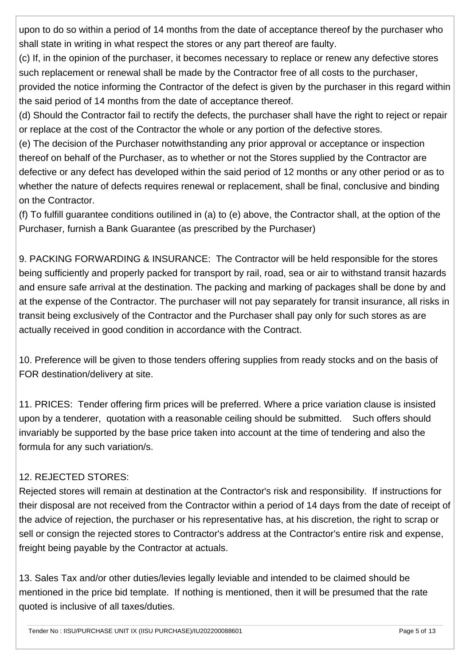upon to do so within a period of 14 months from the date of acceptance thereof by the purchaser who shall state in writing in what respect the stores or any part thereof are faulty.

(c) If, in the opinion of the purchaser, it becomes necessary to replace or renew any defective stores such replacement or renewal shall be made by the Contractor free of all costs to the purchaser,

provided the notice informing the Contractor of the defect is given by the purchaser in this regard within the said period of 14 months from the date of acceptance thereof.

(d) Should the Contractor fail to rectify the defects, the purchaser shall have the right to reject or repair or replace at the cost of the Contractor the whole or any portion of the defective stores.

(e) The decision of the Purchaser notwithstanding any prior approval or acceptance or inspection thereof on behalf of the Purchaser, as to whether or not the Stores supplied by the Contractor are defective or any defect has developed within the said period of 12 months or any other period or as to whether the nature of defects requires renewal or replacement, shall be final, conclusive and binding on the Contractor.

(f) To fulfill guarantee conditions outilined in (a) to (e) above, the Contractor shall, at the option of the Purchaser, furnish a Bank Guarantee (as prescribed by the Purchaser)

9. PACKING FORWARDING & INSURANCE: The Contractor will be held responsible for the stores being sufficiently and properly packed for transport by rail, road, sea or air to withstand transit hazards and ensure safe arrival at the destination. The packing and marking of packages shall be done by and at the expense of the Contractor. The purchaser will not pay separately for transit insurance, all risks in transit being exclusively of the Contractor and the Purchaser shall pay only for such stores as are actually received in good condition in accordance with the Contract.

10. Preference will be given to those tenders offering supplies from ready stocks and on the basis of FOR destination/delivery at site.

11. PRICES: Tender offering firm prices will be preferred. Where a price variation clause is insisted upon by a tenderer, quotation with a reasonable ceiling should be submitted. Such offers should invariably be supported by the base price taken into account at the time of tendering and also the formula for any such variation/s.

# 12. REJECTED STORES:

Rejected stores will remain at destination at the Contractor's risk and responsibility. If instructions for their disposal are not received from the Contractor within a period of 14 days from the date of receipt of the advice of rejection, the purchaser or his representative has, at his discretion, the right to scrap or sell or consign the rejected stores to Contractor's address at the Contractor's entire risk and expense, freight being payable by the Contractor at actuals.

13. Sales Tax and/or other duties/levies legally leviable and intended to be claimed should be mentioned in the price bid template. If nothing is mentioned, then it will be presumed that the rate quoted is inclusive of all taxes/duties.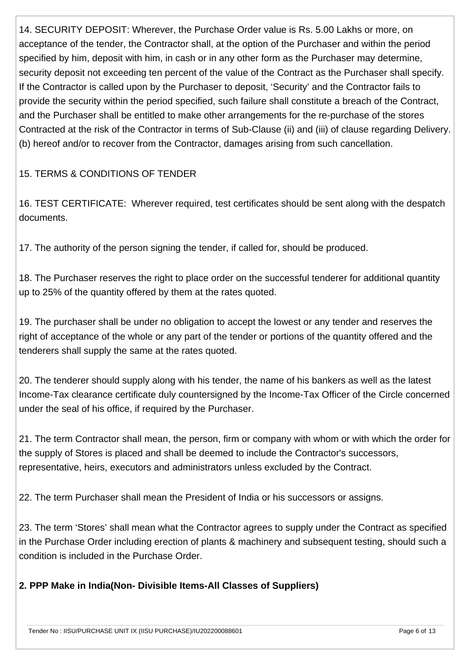14. SECURITY DEPOSIT: Wherever, the Purchase Order value is Rs. 5.00 Lakhs or more, on acceptance of the tender, the Contractor shall, at the option of the Purchaser and within the period specified by him, deposit with him, in cash or in any other form as the Purchaser may determine, security deposit not exceeding ten percent of the value of the Contract as the Purchaser shall specify. If the Contractor is called upon by the Purchaser to deposit, 'Security' and the Contractor fails to provide the security within the period specified, such failure shall constitute a breach of the Contract, and the Purchaser shall be entitled to make other arrangements for the re-purchase of the stores Contracted at the risk of the Contractor in terms of Sub-Clause (ii) and (iii) of clause regarding Delivery. (b) hereof and/or to recover from the Contractor, damages arising from such cancellation.

#### 15. TERMS & CONDITIONS OF TENDER

16. TEST CERTIFICATE: Wherever required, test certificates should be sent along with the despatch documents.

17. The authority of the person signing the tender, if called for, should be produced.

18. The Purchaser reserves the right to place order on the successful tenderer for additional quantity up to 25% of the quantity offered by them at the rates quoted.

19. The purchaser shall be under no obligation to accept the lowest or any tender and reserves the right of acceptance of the whole or any part of the tender or portions of the quantity offered and the tenderers shall supply the same at the rates quoted.

20. The tenderer should supply along with his tender, the name of his bankers as well as the latest Income-Tax clearance certificate duly countersigned by the Income-Tax Officer of the Circle concerned under the seal of his office, if required by the Purchaser.

21. The term Contractor shall mean, the person, firm or company with whom or with which the order for the supply of Stores is placed and shall be deemed to include the Contractor's successors, representative, heirs, executors and administrators unless excluded by the Contract.

22. The term Purchaser shall mean the President of India or his successors or assigns.

23. The term 'Stores' shall mean what the Contractor agrees to supply under the Contract as specified in the Purchase Order including erection of plants & machinery and subsequent testing, should such a condition is included in the Purchase Order.

#### **2. PPP Make in India(Non- Divisible Items-All Classes of Suppliers)**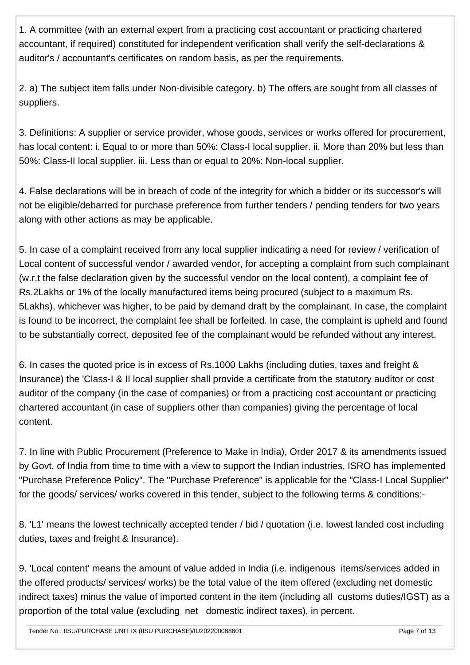1. A committee (with an external expert from a practicing cost accountant or practicing chartered accountant, if required) constituted for independent verification shall verify the self-declarations & auditor's / accountant's certificates on random basis, as per the requirements.

2. a) The subject item falls under Non-divisible category. b) The offers are sought from all classes of suppliers.

3. Definitions: A supplier or service provider, whose goods, services or works offered for procurement, has local content: i. Equal to or more than 50%: Class-I local supplier, ii. More than 20% but less than 50%: Class-II local supplier. iii. Less than or equal to 20%: Non-local supplier.

4. False declarations will be in breach of code of the integrity for which a bidder or its successor's will not be eligible/debarred for purchase preference from further tenders / pending tenders for two years along with other actions as may be applicable.

5. In case of a complaint received from any local supplier indicating a need for review / verification of Local content of successful vendor / awarded vendor, for accepting a complaint from such complainant (w.r.t the false declaration given by the successful vendor on the local content), a complaint fee of Rs.2Lakhs or 1% of the locally manufactured items being procured (subject to a maximum Rs. 5Lakhs), whichever was higher, to be paid by demand draft by the complainant. In case, the complaint is found to be incorrect, the complaint fee shall be forfeited. In case, the complaint is upheld and found to be substantially correct, deposited fee of the complainant would be refunded without any interest.

6. In cases the quoted price is in excess of Rs.1000 Lakhs (including duties, taxes and freight & Insurance) the 'Class-I & II local supplier shall provide a certificate from the statutory auditor or cost auditor of the company (in the case of companies) or from a practicing cost accountant or practicing chartered accountant (in case of suppliers other than companies) giving the percentage of local content.

7. In line with Public Procurement (Preference to Make in India), Order 2017 & its amendments issued by Govt. of India from time to time with a view to support the Indian industries, ISRO has implemented "Purchase Preference Policy". The "Purchase Preference" is applicable for the "Class-I Local Supplier" for the goods/ services/ works covered in this tender, subject to the following terms & conditions:-

8. 'L1' means the lowest technically accepted tender / bid / quotation (i.e. lowest landed cost including duties, taxes and freight & Insurance).

9. 'Local content' means the amount of value added in India (i.e. indigenous items/services added in the offered products/ services/ works) be the total value of the item offered (excluding net domestic indirect taxes) minus the value of imported content in the item (including all customs duties/IGST) as a proportion of the total value (excluding net domestic indirect taxes), in percent.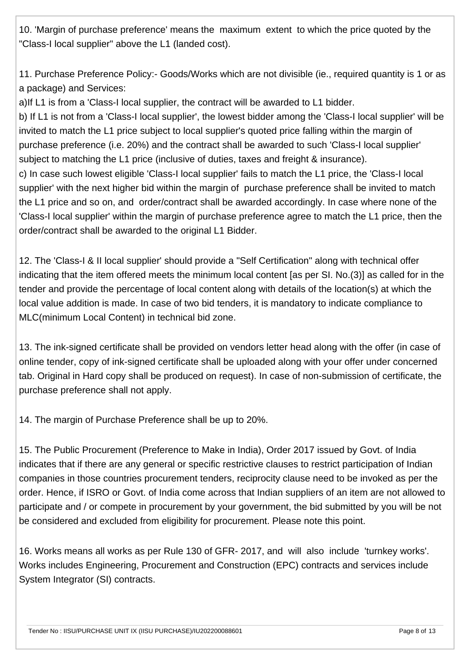10. 'Margin of purchase preference' means the maximum extent to which the price quoted by the "Class-I local supplier" above the L1 (landed cost).

11. Purchase Preference Policy:- Goods/Works which are not divisible (ie., required quantity is 1 or as a package) and Services:

a)If L1 is from a 'Class-I local supplier, the contract will be awarded to L1 bidder.

b) If L1 is not from a 'Class-I local supplier', the lowest bidder among the 'Class-I local supplier' will be invited to match the L1 price subject to local supplier's quoted price falling within the margin of purchase preference (i.e. 20%) and the contract shall be awarded to such 'Class-I local supplier' subject to matching the L1 price (inclusive of duties, taxes and freight & insurance). c) In case such lowest eligible 'Class-I local supplier' fails to match the L1 price, the 'Class-I local supplier' with the next higher bid within the margin of purchase preference shall be invited to match the L1 price and so on, and order/contract shall be awarded accordingly. In case where none of the 'Class-I local supplier' within the margin of purchase preference agree to match the L1 price, then the order/contract shall be awarded to the original L1 Bidder.

12. The 'Class-I & II local supplier' should provide a "Self Certification" along with technical offer indicating that the item offered meets the minimum local content [as per SI. No.(3)] as called for in the tender and provide the percentage of local content along with details of the location(s) at which the local value addition is made. In case of two bid tenders, it is mandatory to indicate compliance to MLC(minimum Local Content) in technical bid zone.

13. The ink-signed certificate shall be provided on vendors letter head along with the offer (in case of online tender, copy of ink-signed certificate shall be uploaded along with your offer under concerned tab. Original in Hard copy shall be produced on request). In case of non-submission of certificate, the purchase preference shall not apply.

14. The margin of Purchase Preference shall be up to 20%.

15. The Public Procurement (Preference to Make in India), Order 2017 issued by Govt. of India indicates that if there are any general or specific restrictive clauses to restrict participation of Indian companies in those countries procurement tenders, reciprocity clause need to be invoked as per the order. Hence, if ISRO or Govt. of India come across that Indian suppliers of an item are not allowed to participate and / or compete in procurement by your government, the bid submitted by you will be not be considered and excluded from eligibility for procurement. Please note this point.

16. Works means all works as per Rule 130 of GFR- 2017, and will also include 'turnkey works'. Works includes Engineering, Procurement and Construction (EPC) contracts and services include System Integrator (SI) contracts.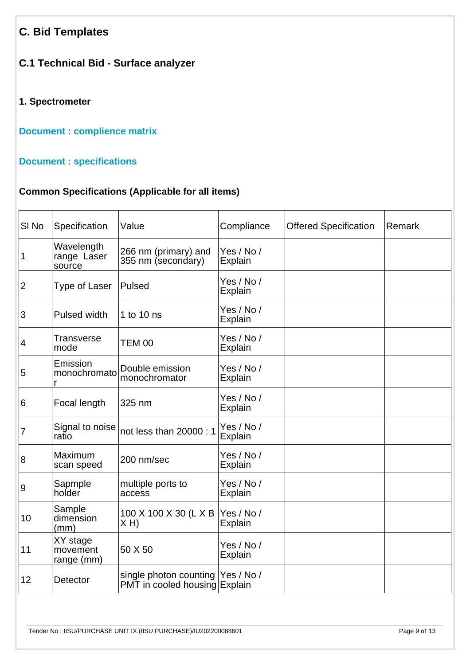# **C. Bid Templates**

# **C.1 Technical Bid - Surface analyzer**

#### **1. Spectrometer**

**[Document : complience matrix](https://eproc.isro.gov.in/common/viewDocument?id=ff8080817ed77b8c017efc25300f53c3&indentId=IU2022000886)**

#### **[Document : specifications](https://eproc.isro.gov.in/common/viewDocument?id=ff8080817ed77b8c017efc24eb5353c0&indentId=IU2022000886)**

# **Common Specifications (Applicable for all items)**

| SI <sub>No</sub> | Specification                       | Value                                                               | Compliance                   | <b>Offered Specification</b> | Remark |
|------------------|-------------------------------------|---------------------------------------------------------------------|------------------------------|------------------------------|--------|
| 1                | Wavelength<br>range Laser<br>source | 266 nm (primary) and<br>355 nm (secondary)                          | Yes / No /<br><b>Explain</b> |                              |        |
| $\overline{2}$   | Type of Laser                       | Pulsed                                                              | Yes / No /<br>Explain        |                              |        |
| 3                | Pulsed width                        | 1 to 10 ns                                                          | Yes / No /<br>Explain        |                              |        |
| $\vert 4$        | <b>Transverse</b><br>mode           | <b>TEM 00</b>                                                       | Yes / No /<br>Explain        |                              |        |
| 5                | Emission<br>monochromato<br>r       | Double emission<br>monochromator                                    | Yes / No /<br><b>Explain</b> |                              |        |
| 6                | Focal length                        | 325 nm                                                              | Yes / No /<br>Explain        |                              |        |
| $\overline{7}$   | Signal to noise<br>ratio            | not less than 20000: 1                                              | Yes / No /<br>Explain        |                              |        |
| 8                | Maximum<br>scan speed               | 200 nm/sec                                                          | Yes / No /<br>Explain        |                              |        |
| 9                | Sapmple<br>holder                   | multiple ports to<br>access                                         | Yes / No /<br>Explain        |                              |        |
| 10               | Sample<br>dimension<br>(mm)         | 100 X 100 X 30 (L X B<br>X H                                        | Yes / No /<br>Explain        |                              |        |
| 11               | XY stage<br>movement<br>range (mm)  | 50 X 50                                                             | Yes / No /<br>Explain        |                              |        |
| 12               | <b>Detector</b>                     | single photon counting  Yes / No /<br>PMT in cooled housing Explain |                              |                              |        |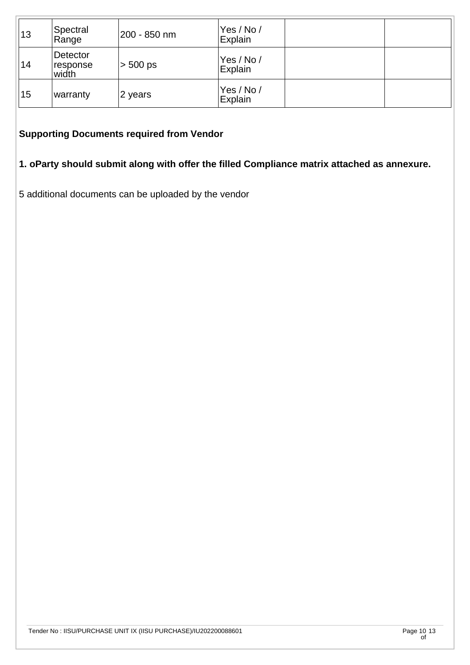| 13 | Spectral<br>Range                    | 200 - 850 nm | Yes / No /<br>Explain |  |
|----|--------------------------------------|--------------|-----------------------|--|
| 14 | Detector<br><b>response</b><br>width | $> 500$ ps   | Yes / No /<br>Explain |  |
| 15 | warranty                             | 2 years      | Yes / No /<br>Explain |  |

#### **Supporting Documents required from Vendor**

# **1. oParty should submit along with offer the filled Compliance matrix attached as annexure.**

5 additional documents can be uploaded by the vendor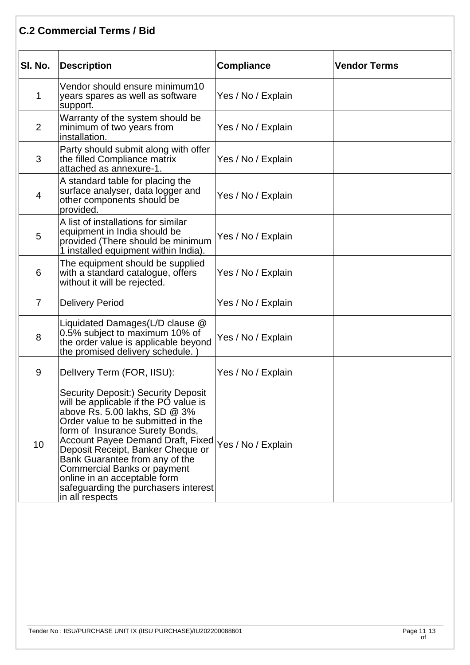# **C.2 Commercial Terms / Bid**

| SI. No.         | <b>Description</b>                                                                                                                                                                                                                                                                                                                                                                                                                    | <b>Compliance</b>  | <b>Vendor Terms</b> |
|-----------------|---------------------------------------------------------------------------------------------------------------------------------------------------------------------------------------------------------------------------------------------------------------------------------------------------------------------------------------------------------------------------------------------------------------------------------------|--------------------|---------------------|
| 1               | Vendor should ensure minimum10<br>years spares as well as software<br>support.                                                                                                                                                                                                                                                                                                                                                        | Yes / No / Explain |                     |
| $\overline{2}$  | Warranty of the system should be<br>minimum of two years from<br>installation.                                                                                                                                                                                                                                                                                                                                                        | Yes / No / Explain |                     |
| 3               | Party should submit along with offer<br>the filled Compliance matrix<br>attached as annexure-1.                                                                                                                                                                                                                                                                                                                                       | Yes / No / Explain |                     |
| $\overline{4}$  | A standard table for placing the<br>surface analyser, data logger and<br>other components should be<br>provided.                                                                                                                                                                                                                                                                                                                      | Yes / No / Explain |                     |
| 5               | A list of installations for similar<br>equipment in India should be<br>provided (There should be minimum<br>1 installed equipment within India).                                                                                                                                                                                                                                                                                      | Yes / No / Explain |                     |
| 6               | The equipment should be supplied<br>with a standard catalogue, offers<br>without it will be rejected.                                                                                                                                                                                                                                                                                                                                 | Yes / No / Explain |                     |
| $\overline{7}$  | <b>Delivery Period</b>                                                                                                                                                                                                                                                                                                                                                                                                                | Yes / No / Explain |                     |
| 8               | Liquidated Damages(L/D clause @<br>0.5% subject to maximum 10% of<br>the order value is applicable beyond<br>the promised delivery schedule.)                                                                                                                                                                                                                                                                                         | Yes / No / Explain |                     |
| 9               | Delivery Term (FOR, IISU):                                                                                                                                                                                                                                                                                                                                                                                                            | Yes / No / Explain |                     |
| 10 <sup>1</sup> | <b>Security Deposit:) Security Deposit</b><br>will be applicable if the PO value is<br>above Rs. 5.00 lakhs, SD $@3\%$<br>Order value to be submitted in the<br>form of Insurance Surety Bonds,<br>Account Payee Demand Draft, Fixed<br>Deposit Receipt, Banker Cheque or<br>Bank Guarantee from any of the<br>Commercial Banks or payment<br>online in an acceptable form<br>safeguarding the purchasers interest<br>in all respects | Yes / No / Explain |                     |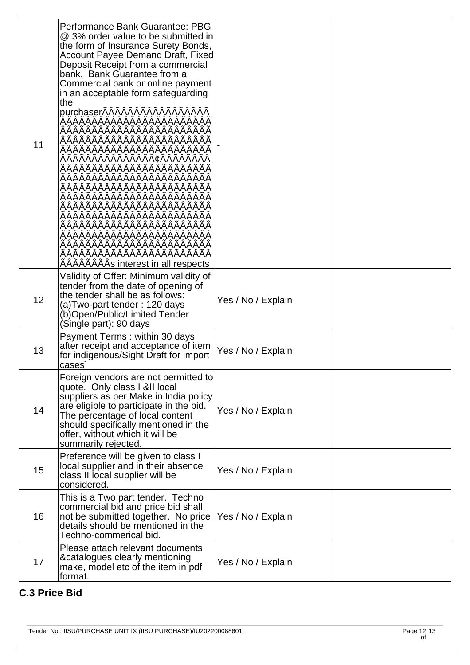| 11 | Performance Bank Guarantee: PBG<br>@ 3% order value to be submitted in<br>the form of Insurance Surety Bonds,<br><b>Account Payee Demand Draft, Fixed</b><br>Deposit Receipt from a commercial<br>bank, Bank Guarantee from a<br>Commercial bank or online payment<br>in an acceptable form safeguarding<br>the<br>purchaserĀĀĀĀĀĀĀĀĀĀĀĀĀĀĀĀĀ<br>AAAAAAAAAAAAAAÄÄÄÄ<br>AAAAAAAAAAAAAAAAAAAAAAAA<br>AAAAAAAAAAAAAAAAAAAAAA<br>AAAAAAAAAAAAAAAAAAAAAAA<br>AAAAAAAAs interest in all respects |                    |  |
|----|--------------------------------------------------------------------------------------------------------------------------------------------------------------------------------------------------------------------------------------------------------------------------------------------------------------------------------------------------------------------------------------------------------------------------------------------------------------------------------------------|--------------------|--|
| 12 | Validity of Offer: Minimum validity of<br>tender from the date of opening of<br>the tender shall be as follows:<br>(a)Two-part tender: 120 days<br>(b)Open/Public/Limited Tender<br>(Single part): 90 days                                                                                                                                                                                                                                                                                 | Yes / No / Explain |  |
| 13 | Payment Terms: within 30 days<br>after receipt and acceptance of item<br>for indigenous/Sight Draft for import<br>cases                                                                                                                                                                                                                                                                                                                                                                    | Yes / No / Explain |  |
| 14 | Foreign vendors are not permitted to<br>quote. Only class I &II local<br>suppliers as per Make in India policy<br>are eligible to participate in the bid.<br>The percentage of local content<br>should specifically mentioned in the<br>offer, without which it will be<br>summarily rejected.                                                                                                                                                                                             | Yes / No / Explain |  |
| 15 | Preference will be given to class I<br>local supplier and in their absence<br>class II local supplier will be<br>considered.                                                                                                                                                                                                                                                                                                                                                               | Yes / No / Explain |  |
| 16 | This is a Two part tender. Techno<br>commercial bid and price bid shall<br>not be submitted together. No price<br>details should be mentioned in the<br>Techno-commerical bid.                                                                                                                                                                                                                                                                                                             | Yes / No / Explain |  |
| 17 | Please attach relevant documents<br>& catalogues clearly mentioning<br>make, model etc of the item in pdf<br>format.                                                                                                                                                                                                                                                                                                                                                                       | Yes / No / Explain |  |

# **C.3 Price Bid**